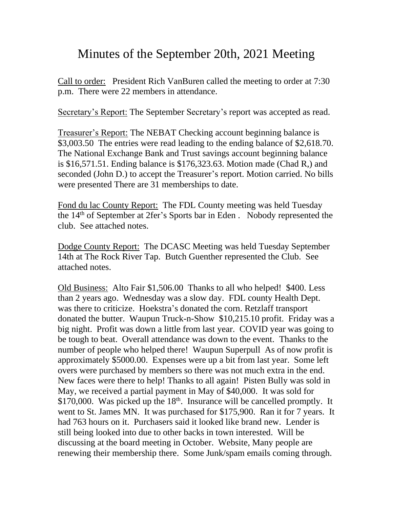## Minutes of the September 20th, 2021 Meeting

Call to order: President Rich VanBuren called the meeting to order at 7:30 p.m. There were 22 members in attendance.

Secretary's Report: The September Secretary's report was accepted as read.

Treasurer's Report: The NEBAT Checking account beginning balance is \$3,003.50 The entries were read leading to the ending balance of \$2,618.70. The National Exchange Bank and Trust savings account beginning balance is \$16,571.51. Ending balance is \$176,323.63. Motion made (Chad R,) and seconded (John D.) to accept the Treasurer's report. Motion carried. No bills were presented There are 31 memberships to date.

Fond du lac County Report: The FDL County meeting was held Tuesday the 14th of September at 2fer's Sports bar in Eden . Nobody represented the club. See attached notes.

Dodge County Report: The DCASC Meeting was held Tuesday September 14th at The Rock River Tap. Butch Guenther represented the Club. See attached notes.

Old Business: Alto Fair \$1,506.00 Thanks to all who helped! \$400. Less than 2 years ago. Wednesday was a slow day. FDL county Health Dept. was there to criticize. Hoekstra's donated the corn. Retzlaff transport donated the butter. Waupun Truck-n-Show \$10,215.10 profit. Friday was a big night. Profit was down a little from last year. COVID year was going to be tough to beat. Overall attendance was down to the event. Thanks to the number of people who helped there! Waupun Superpull As of now profit is approximately \$5000.00. Expenses were up a bit from last year. Some left overs were purchased by members so there was not much extra in the end. New faces were there to help! Thanks to all again! Pisten Bully was sold in May, we received a partial payment in May of \$40,000. It was sold for \$170,000. Was picked up the  $18<sup>th</sup>$ . Insurance will be cancelled promptly. It went to St. James MN. It was purchased for \$175,900. Ran it for 7 years. It had 763 hours on it. Purchasers said it looked like brand new. Lender is still being looked into due to other backs in town interested. Will be discussing at the board meeting in October. Website, Many people are renewing their membership there. Some Junk/spam emails coming through.